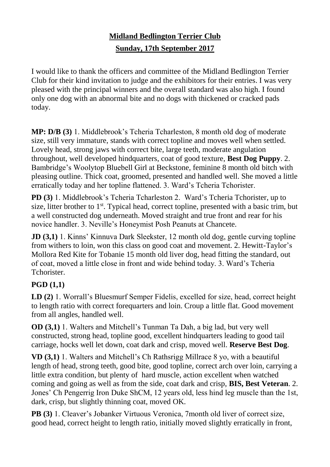## **Midland Bedlington Terrier Club Sunday, 17th September 2017**

I would like to thank the officers and committee of the Midland Bedlington Terrier Club for their kind invitation to judge and the exhibitors for their entries. I was very pleased with the principal winners and the overall standard was also high. I found only one dog with an abnormal bite and no dogs with thickened or cracked pads today.

**MP: D/B (3)** 1. Middlebrook's Tcheria Tcharleston, 8 month old dog of moderate size, still very immature, stands with correct topline and moves well when settled. Lovely head, strong jaws with correct bite, large teeth, moderate angulation throughout, well developed hindquarters, coat of good texture, **Best Dog Puppy**. 2. Bambridge's Woolytop Bluebell Girl at Beckstone, feminine 8 month old bitch with pleasing outline. Thick coat, groomed, presented and handled well. She moved a little erratically today and her topline flattened. 3. Ward's Tcheria Tchorister.

**PD (3)** 1. Middlebrook's Tcheria Tcharleston 2. Ward's Tcheria Tchorister, up to size, litter brother to  $1<sup>st</sup>$ . Typical head, correct topline, presented with a basic trim, but a well constructed dog underneath. Moved straight and true front and rear for his novice handler. 3. Neville's Honeymist Posh Peanuts at Chancete.

**JD (3,1)** 1. Kinns' Kinnuva Dark Sleekster, 12 month old dog, gentle curving topline from withers to loin, won this class on good coat and movement. 2. Hewitt-Taylor's Mollora Red Kite for Tobanie 15 month old liver dog, head fitting the standard, out of coat, moved a little close in front and wide behind today. 3. Ward's Tcheria Tchorister.

## **PGD (1,1)**

**LD (2)** 1. Worrall's Bluesmurf Semper Fidelis, excelled for size, head, correct height to length ratio with correct forequarters and loin. Croup a little flat. Good movement from all angles, handled well.

**OD (3,1)** 1. Walters and Mitchell's Tunman Ta Dah, a big lad, but very well constructed, strong head, topline good, excellent hindquarters leading to good tail carriage, hocks well let down, coat dark and crisp, moved well. **Reserve Best Dog**.

**VD (3,1)** 1. Walters and Mitchell's Ch Rathsrigg Millrace 8 yo, with a beautiful length of head, strong teeth, good bite, good topline, correct arch over loin, carrying a little extra condition, but plenty of hard muscle, action excellent when watched coming and going as well as from the side, coat dark and crisp, **BIS, Best Veteran**. 2. Jones' Ch Pengerrig Iron Duke ShCM, 12 years old, less hind leg muscle than the 1st, dark, crisp, but slightly thinning coat, moved OK.

**PB (3)** 1. Cleaver's Jobanker Virtuous Veronica, 7month old liver of correct size, good head, correct height to length ratio, initially moved slightly erratically in front,